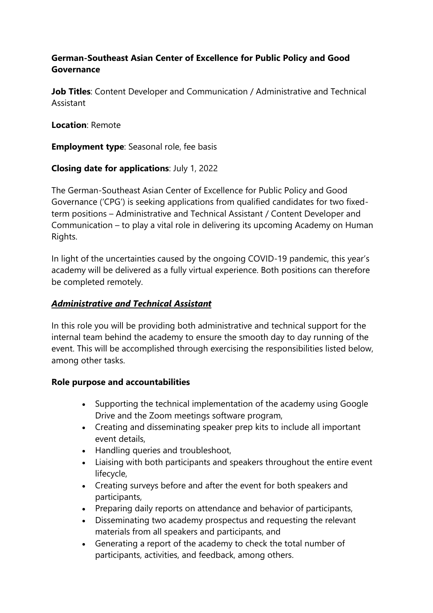#### **German-Southeast Asian Center of Excellence for Public Policy and Good Governance**

**Job Titles**: Content Developer and Communication / Administrative and Technical Assistant

**Location**: Remote

**Employment type**: Seasonal role, fee basis

**Closing date for applications**: July 1, 2022

The German-Southeast Asian Center of Excellence for Public Policy and Good Governance ('CPG') is seeking applications from qualified candidates for two fixedterm positions – Administrative and Technical Assistant / Content Developer and Communication – to play a vital role in delivering its upcoming Academy on Human Rights.

In light of the uncertainties caused by the ongoing COVID-19 pandemic, this year's academy will be delivered as a fully virtual experience. Both positions can therefore be completed remotely.

#### *Administrative and Technical Assistant*

In this role you will be providing both administrative and technical support for the internal team behind the academy to ensure the smooth day to day running of the event. This will be accomplished through exercising the responsibilities listed below, among other tasks.

# **Role purpose and accountabilities**

- Supporting the technical implementation of the academy using Google Drive and the Zoom meetings software program,
- Creating and disseminating speaker prep kits to include all important event details,
- Handling queries and troubleshoot,
- Liaising with both participants and speakers throughout the entire event lifecycle,
- Creating surveys before and after the event for both speakers and participants,
- Preparing daily reports on attendance and behavior of participants,
- Disseminating two academy prospectus and requesting the relevant materials from all speakers and participants, and
- Generating a report of the academy to check the total number of participants, activities, and feedback, among others.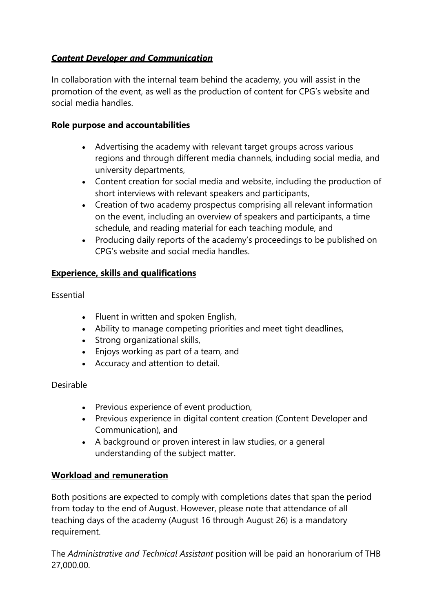# *Content Developer and Communication*

In collaboration with the internal team behind the academy, you will assist in the promotion of the event, as well as the production of content for CPG's website and social media handles.

#### **Role purpose and accountabilities**

- Advertising the academy with relevant target groups across various regions and through different media channels, including social media, and university departments,
- Content creation for social media and website, including the production of short interviews with relevant speakers and participants,
- Creation of two academy prospectus comprising all relevant information on the event, including an overview of speakers and participants, a time schedule, and reading material for each teaching module, and
- Producing daily reports of the academy's proceedings to be published on CPG's website and social media handles.

# **Experience, skills and qualifications**

# Essential

- Fluent in written and spoken English,
- Ability to manage competing priorities and meet tight deadlines,
- Strong organizational skills,
- Enjoys working as part of a team, and
- Accuracy and attention to detail.

# Desirable

- Previous experience of event production,
- Previous experience in digital content creation (Content Developer and Communication), and
- A background or proven interest in law studies, or a general understanding of the subject matter.

# **Workload and remuneration**

Both positions are expected to comply with completions dates that span the period from today to the end of August. However, please note that attendance of all teaching days of the academy (August 16 through August 26) is a mandatory requirement.

The *Administrative and Technical Assistant* position will be paid an honorarium of THB 27,000.00.